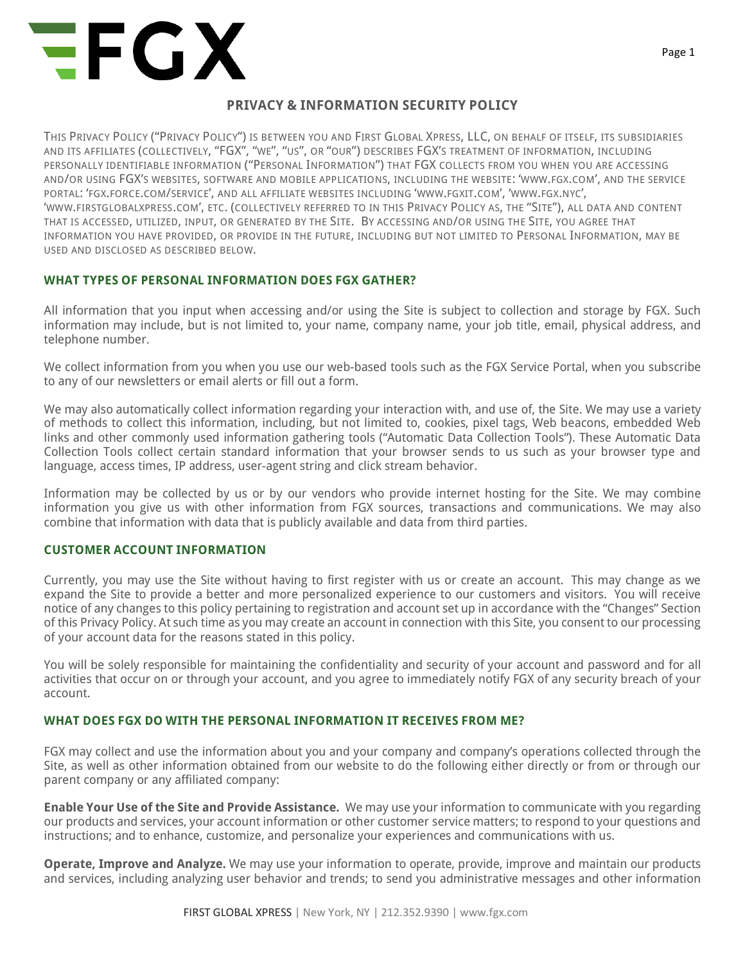

## **PRIVACY & INFORMATION SECURITY POLICY**

THIS PRIVACY POLICY ("PRIVACY POLICY") IS BETWEEN YOU AND FIRST GLOBAL XPRESS, LLC, ON BEHALF OF ITSELF, ITS SUBSIDIARIES AND ITS AFFILIATES (COLLECTIVELY, "FGX", "WE", "US", OR "OUR") DESCRIBES FGX'S TREATMENT OF INFORMATION, INCLUDING PERSONALLY IDENTIFIABLE INFORMATION ("PERSONAL INFORMATION") THAT FGX COLLECTS FROM YOU WHEN YOU ARE ACCESSING AND/OR USING FGX'S WEBSITES, SOFTWARE AND MOBILE APPLICATIONS, INCLUDING THE WEBSITE: 'WWW.FGX.COM', AND THE SERVICE PORTAL: 'FGX.FORCE.COM/SERVICE', AND ALL AFFILIATE WEBSITES INCLUDING 'WWW.FGXIT.COM', 'WWW.FGX.NYC', 'WWW.FIRSTGLOBALXPRESS.COM', ETC. (COLLECTIVELY REFERRED TO IN THIS PRIVACY POLICY AS, THE "SITE"), ALL DATA AND CONTENT THAT IS ACCESSED, UTILIZED, INPUT, OR GENERATED BY THE SITE. BY ACCESSING AND/OR USING THE SITE, YOU AGREE THAT INFORMATION YOU HAVE PROVIDED, OR PROVIDE IN THE FUTURE, INCLUDING BUT NOT LIMITED TO PERSONAL INFORMATION, MAY BE USED AND DISCLOSED AS DESCRIBED BELOW.

## **WHAT TYPES OF PERSONAL INFORMATION DOES FGX GATHER?**

All information that you input when accessing and/or using the Site is subject to collection and storage by FGX. Such information may include, but is not limited to, your name, company name, your job title, email, physical address, and telephone number.

We collect information from you when you use our web-based tools such as the FGX Service Portal, when you subscribe to any of our newsletters or email alerts or fill out a form.

We may also automatically collect information regarding your interaction with, and use of, the Site. We may use a variety of methods to collect this information, including, but not limited to, cookies, pixel tags, Web beacons, embedded Web links and other commonly used information gathering tools ("Automatic Data Collection Tools"). These Automatic Data Collection Tools collect certain standard information that your browser sends to us such as your browser type and language, access times, IP address, user-agent string and click stream behavior.

Information may be collected by us or by our vendors who provide internet hosting for the Site. We may combine information you give us with other information from FGX sources, transactions and communications. We may also combine that information with data that is publicly available and data from third parties.

## **CUSTOMER ACCOUNT INFORMATION**

Currently, you may use the Site without having to first register with us or create an account. This may change as we expand the Site to provide a better and more personalized experience to our customers and visitors. You will receive notice of any changes to this policy pertaining to registration and account set up in accordance with the "Changes" Section of this Privacy Policy. At such time as you may create an account in connection with this Site, you consent to our processing of your account data for the reasons stated in this policy.

You will be solely responsible for maintaining the confidentiality and security of your account and password and for all activities that occur on or through your account, and you agree to immediately notify FGX of any security breach of your account.

## **WHAT DOES FGX DO WITH THE PERSONAL INFORMATION IT RECEIVES FROM ME?**

FGX may collect and use the information about you and your company and company's operations collected through the Site, as well as other information obtained from our website to do the following either directly or from or through our parent company or any affiliated company:

**Enable Your Use of the Site and Provide Assistance.** We may use your information to communicate with you regarding our products and services, your account information or other customer service matters; to respond to your questions and instructions; and to enhance, customize, and personalize your experiences and communications with us.

**Operate, Improve and Analyze.** We may use your information to operate, provide, improve and maintain our products and services, including analyzing user behavior and trends; to send you administrative messages and other information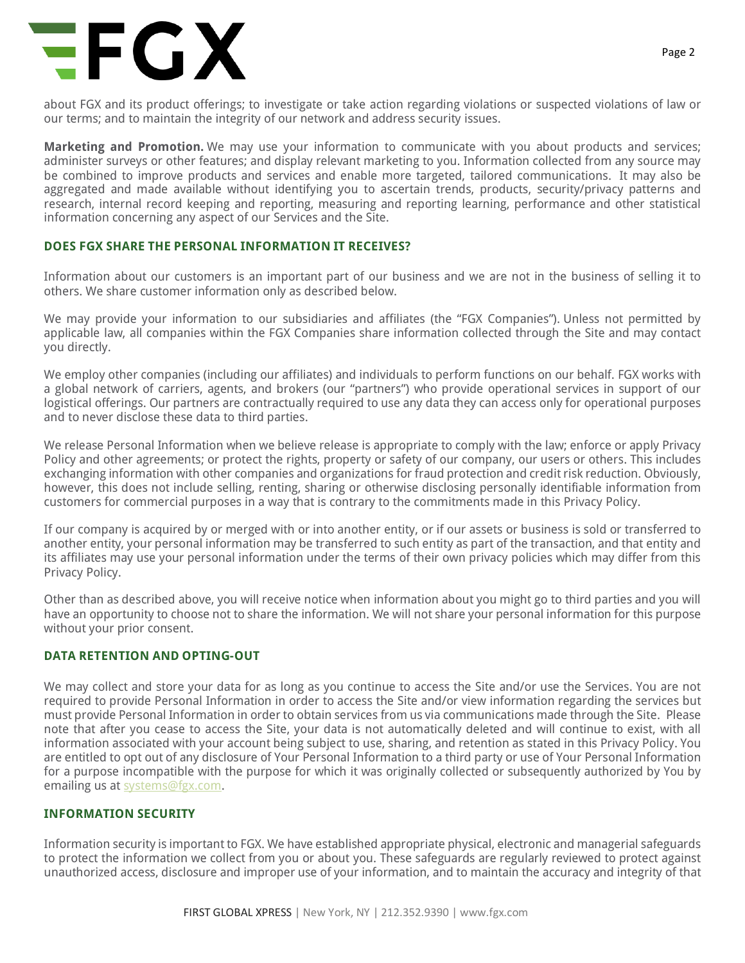# **EFGX**

about FGX and its product offerings; to investigate or take action regarding violations or suspected violations of law or our terms; and to maintain the integrity of our network and address security issues.

**Marketing and Promotion.** We may use your information to communicate with you about products and services; administer surveys or other features; and display relevant marketing to you. Information collected from any source may be combined to improve products and services and enable more targeted, tailored communications. It may also be aggregated and made available without identifying you to ascertain trends, products, security/privacy patterns and research, internal record keeping and reporting, measuring and reporting learning, performance and other statistical information concerning any aspect of our Services and the Site.

#### **DOES FGX SHARE THE PERSONAL INFORMATION IT RECEIVES?**

Information about our customers is an important part of our business and we are not in the business of selling it to others. We share customer information only as described below.

We may provide your information to our subsidiaries and affiliates (the "FGX Companies"). Unless not permitted by applicable law, all companies within the FGX Companies share information collected through the Site and may contact you directly.

We employ other companies (including our affiliates) and individuals to perform functions on our behalf. FGX works with a global network of carriers, agents, and brokers (our "partners") who provide operational services in support of our logistical offerings. Our partners are contractually required to use any data they can access only for operational purposes and to never disclose these data to third parties.

We release Personal Information when we believe release is appropriate to comply with the law; enforce or apply Privacy Policy and other agreements; or protect the rights, property or safety of our company, our users or others. This includes exchanging information with other companies and organizations for fraud protection and credit risk reduction. Obviously, however, this does not include selling, renting, sharing or otherwise disclosing personally identifiable information from customers for commercial purposes in a way that is contrary to the commitments made in this Privacy Policy.

If our company is acquired by or merged with or into another entity, or if our assets or business is sold or transferred to another entity, your personal information may be transferred to such entity as part of the transaction, and that entity and its affiliates may use your personal information under the terms of their own privacy policies which may differ from this Privacy Policy.

Other than as described above, you will receive notice when information about you might go to third parties and you will have an opportunity to choose not to share the information. We will not share your personal information for this purpose without your prior consent.

## **DATA RETENTION AND OPTING-OUT**

We may collect and store your data for as long as you continue to access the Site and/or use the Services. You are not required to provide Personal Information in order to access the Site and/or view information regarding the services but must provide Personal Information in order to obtain services from us via communications made through the Site. Please note that after you cease to access the Site, your data is not automatically deleted and will continue to exist, with all information associated with your account being subject to use, sharing, and retention as stated in this Privacy Policy. You are entitled to opt out of any disclosure of Your Personal Information to a third party or use of Your Personal Information for a purpose incompatible with the purpose for which it was originally collected or subsequently authorized by You by emailing us at systems@fgx.com.

## **INFORMATION SECURITY**

Information security is important to FGX. We have established appropriate physical, electronic and managerial safeguards to protect the information we collect from you or about you. These safeguards are regularly reviewed to protect against unauthorized access, disclosure and improper use of your information, and to maintain the accuracy and integrity of that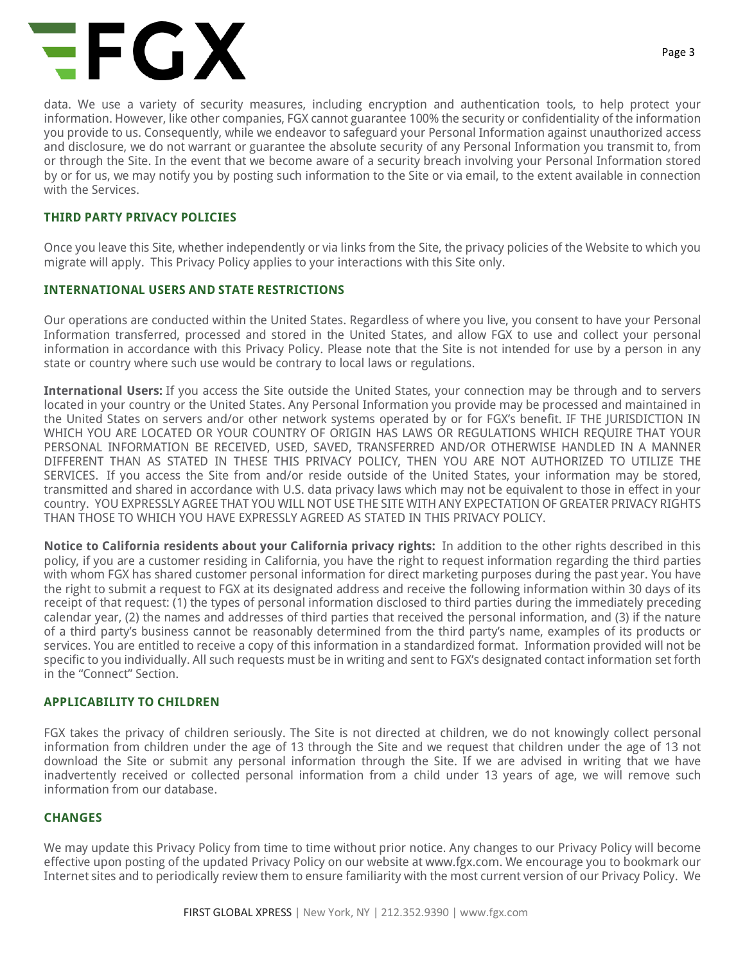# **EFGX**

data. We use a variety of security measures, including encryption and authentication tools, to help protect your information. However, like other companies, FGX cannot guarantee 100% the security or confidentiality of the information you provide to us. Consequently, while we endeavor to safeguard your Personal Information against unauthorized access and disclosure, we do not warrant or guarantee the absolute security of any Personal Information you transmit to, from or through the Site. In the event that we become aware of a security breach involving your Personal Information stored by or for us, we may notify you by posting such information to the Site or via email, to the extent available in connection with the Services.

#### **THIRD PARTY PRIVACY POLICIES**

Once you leave this Site, whether independently or via links from the Site, the privacy policies of the Website to which you migrate will apply. This Privacy Policy applies to your interactions with this Site only.

#### **INTERNATIONAL USERS AND STATE RESTRICTIONS**

Our operations are conducted within the United States. Regardless of where you live, you consent to have your Personal Information transferred, processed and stored in the United States, and allow FGX to use and collect your personal information in accordance with this Privacy Policy. Please note that the Site is not intended for use by a person in any state or country where such use would be contrary to local laws or regulations.

**International Users:** If you access the Site outside the United States, your connection may be through and to servers located in your country or the United States. Any Personal Information you provide may be processed and maintained in the United States on servers and/or other network systems operated by or for FGX's benefit. IF THE JURISDICTION IN WHICH YOU ARE LOCATED OR YOUR COUNTRY OF ORIGIN HAS LAWS OR REGULATIONS WHICH REQUIRE THAT YOUR PERSONAL INFORMATION BE RECEIVED, USED, SAVED, TRANSFERRED AND/OR OTHERWISE HANDLED IN A MANNER DIFFERENT THAN AS STATED IN THESE THIS PRIVACY POLICY, THEN YOU ARE NOT AUTHORIZED TO UTILIZE THE SERVICES. If you access the Site from and/or reside outside of the United States, your information may be stored, transmitted and shared in accordance with U.S. data privacy laws which may not be equivalent to those in effect in your country. YOU EXPRESSLY AGREE THAT YOU WILL NOT USE THE SITE WITH ANY EXPECTATION OF GREATER PRIVACY RIGHTS THAN THOSE TO WHICH YOU HAVE EXPRESSLY AGREED AS STATED IN THIS PRIVACY POLICY.

**Notice to California residents about your California privacy rights:** In addition to the other rights described in this policy, if you are a customer residing in California, you have the right to request information regarding the third parties with whom FGX has shared customer personal information for direct marketing purposes during the past year. You have the right to submit a request to FGX at its designated address and receive the following information within 30 days of its receipt of that request: (1) the types of personal information disclosed to third parties during the immediately preceding calendar year, (2) the names and addresses of third parties that received the personal information, and (3) if the nature of a third party's business cannot be reasonably determined from the third party's name, examples of its products or services. You are entitled to receive a copy of this information in a standardized format. Information provided will not be specific to you individually. All such requests must be in writing and sent to FGX's designated contact information set forth in the "Connect" Section.

#### **APPLICABILITY TO CHILDREN**

FGX takes the privacy of children seriously. The Site is not directed at children, we do not knowingly collect personal information from children under the age of 13 through the Site and we request that children under the age of 13 not download the Site or submit any personal information through the Site. If we are advised in writing that we have inadvertently received or collected personal information from a child under 13 years of age, we will remove such information from our database.

# **CHANGES**

We may update this Privacy Policy from time to time without prior notice. Any changes to our Privacy Policy will become effective upon posting of the updated Privacy Policy on our website at www.fgx.com. We encourage you to bookmark our Internet sites and to periodically review them to ensure familiarity with the most current version of our Privacy Policy. We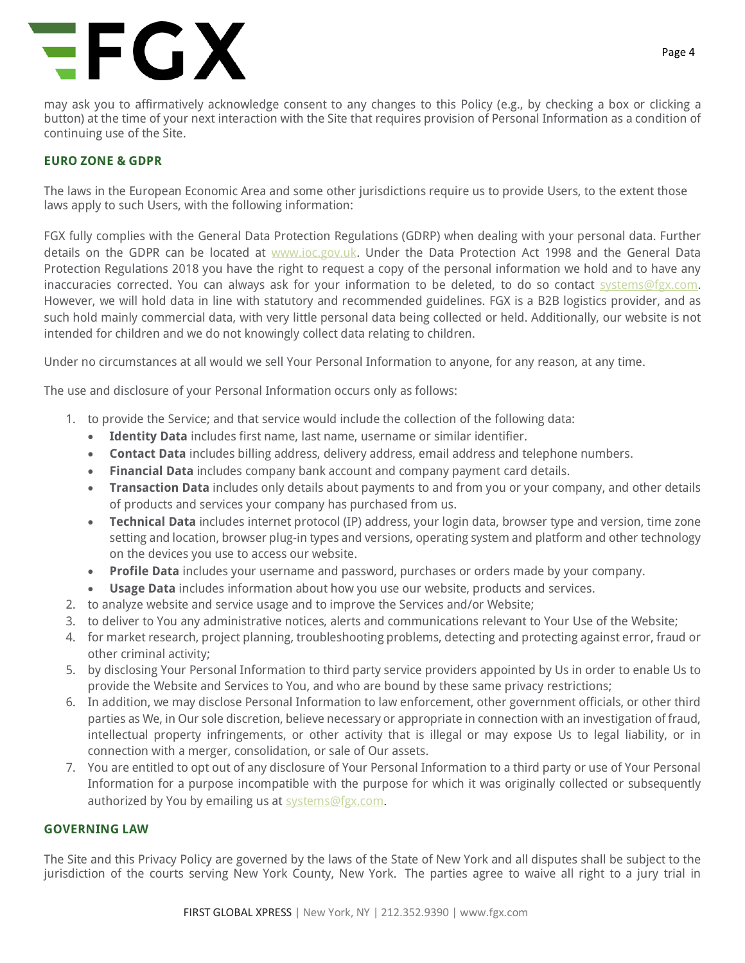# EFGX

may ask you to affirmatively acknowledge consent to any changes to this Policy (e.g., by checking a box or clicking a button) at the time of your next interaction with the Site that requires provision of Personal Information as a condition of continuing use of the Site.

# **EURO ZONE & GDPR**

The laws in the European Economic Area and some other jurisdictions require us to provide Users, to the extent those laws apply to such Users, with the following information:

FGX fully complies with the General Data Protection Regulations (GDRP) when dealing with your personal data. Further details on the GDPR can be located at www.ioc.gov.uk. Under the Data Protection Act 1998 and the General Data Protection Regulations 2018 you have the right to request a copy of the personal information we hold and to have any inaccuracies corrected. You can always ask for your information to be deleted, to do so contact systems@fgx.com. However, we will hold data in line with statutory and recommended guidelines. FGX is a B2B logistics provider, and as such hold mainly commercial data, with very little personal data being collected or held. Additionally, our website is not intended for children and we do not knowingly collect data relating to children.

Under no circumstances at all would we sell Your Personal Information to anyone, for any reason, at any time.

The use and disclosure of your Personal Information occurs only as follows:

- 1. to provide the Service; and that service would include the collection of the following data:
	- **Identity Data** includes first name, last name, username or similar identifier.
	- **Contact Data** includes billing address, delivery address, email address and telephone numbers.
	- **Financial Data** includes company bank account and company payment card details.
	- **Transaction Data** includes only details about payments to and from you or your company, and other details of products and services your company has purchased from us.
	- **Technical Data** includes internet protocol (IP) address, your login data, browser type and version, time zone setting and location, browser plug-in types and versions, operating system and platform and other technology on the devices you use to access our website.
	- **Profile Data** includes your username and password, purchases or orders made by your company.
	- **Usage Data** includes information about how you use our website, products and services.
- 2. to analyze website and service usage and to improve the Services and/or Website;
- 3. to deliver to You any administrative notices, alerts and communications relevant to Your Use of the Website;
- 4. for market research, project planning, troubleshooting problems, detecting and protecting against error, fraud or other criminal activity;
- 5. by disclosing Your Personal Information to third party service providers appointed by Us in order to enable Us to provide the Website and Services to You, and who are bound by these same privacy restrictions;
- 6. In addition, we may disclose Personal Information to law enforcement, other government officials, or other third parties as We, in Our sole discretion, believe necessary or appropriate in connection with an investigation of fraud, intellectual property infringements, or other activity that is illegal or may expose Us to legal liability, or in connection with a merger, consolidation, or sale of Our assets.
- 7. You are entitled to opt out of any disclosure of Your Personal Information to a third party or use of Your Personal Information for a purpose incompatible with the purpose for which it was originally collected or subsequently authorized by You by emailing us at systems@fgx.com.

#### **GOVERNING LAW**

The Site and this Privacy Policy are governed by the laws of the State of New York and all disputes shall be subject to the jurisdiction of the courts serving New York County, New York. The parties agree to waive all right to a jury trial in